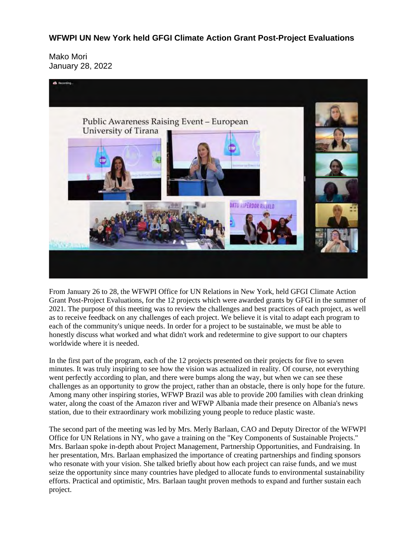## **WFWPI UN New York held GFGI Climate Action Grant Post-Project Evaluations**

Mako Mori January 28, 2022



From January 26 to 28, the WFWPI Office for UN Relations in New York, held GFGI Climate Action Grant Post-Project Evaluations, for the 12 projects which were awarded grants by GFGI in the summer of 2021. The purpose of this meeting was to review the challenges and best practices of each project, as well as to receive feedback on any challenges of each project. We believe it is vital to adapt each program to each of the community's unique needs. In order for a project to be sustainable, we must be able to honestly discuss what worked and what didn't work and redetermine to give support to our chapters worldwide where it is needed.

In the first part of the program, each of the 12 projects presented on their projects for five to seven minutes. It was truly inspiring to see how the vision was actualized in reality. Of course, not everything went perfectly according to plan, and there were bumps along the way, but when we can see these challenges as an opportunity to grow the project, rather than an obstacle, there is only hope for the future. Among many other inspiring stories, WFWP Brazil was able to provide 200 families with clean drinking water, along the coast of the Amazon river and WFWP Albania made their presence on Albania's news station, due to their extraordinary work mobilizing young people to reduce plastic waste.

The second part of the meeting was led by Mrs. Merly Barlaan, CAO and Deputy Director of the WFWPI Office for UN Relations in NY, who gave a training on the "Key Components of Sustainable Projects." Mrs. Barlaan spoke in-depth about Project Management, Partnership Opportunities, and Fundraising. In her presentation, Mrs. Barlaan emphasized the importance of creating partnerships and finding sponsors who resonate with your vision. She talked briefly about how each project can raise funds, and we must seize the opportunity since many countries have pledged to allocate funds to environmental sustainability efforts. Practical and optimistic, Mrs. Barlaan taught proven methods to expand and further sustain each project.